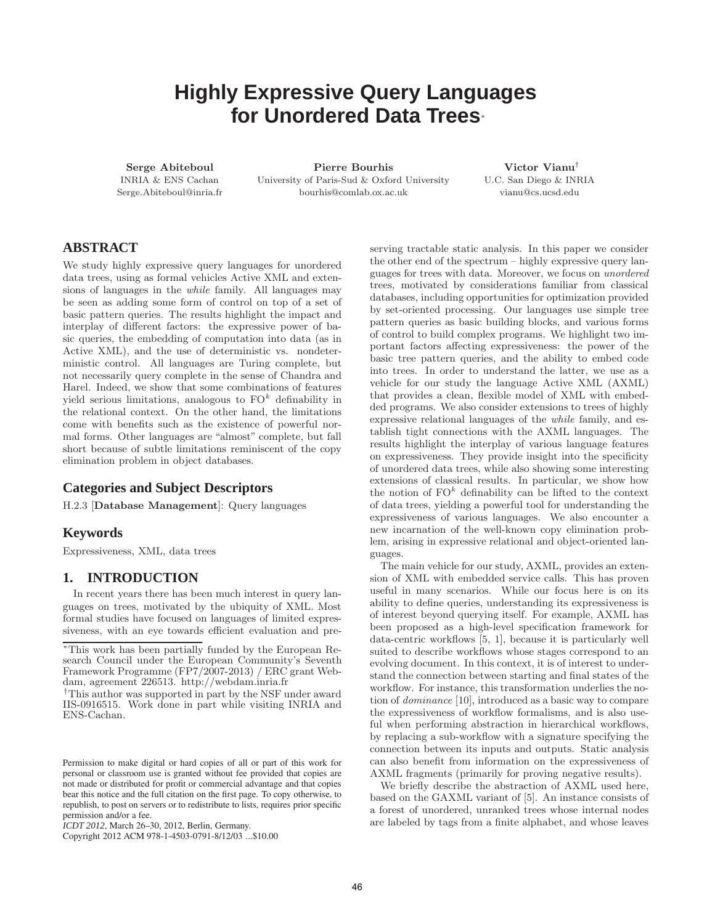# **Highly Expressive Query Languages for Unordered Data Trees**<sup>∗</sup>

**Serge Abiteboul** INRIA & ENS Cachan Serge.Abiteboul@inria.fr

**Pierre Bourhis** University of Paris-Sud & Oxford University bourhis@comlab.ox.ac.uk

**Victor Vianu**† U.C. San Diego & INRIA vianu@cs.ucsd.edu

# **ABSTRACT**

We study highly expressive query languages for unordered data trees, using as formal vehicles Active XML and extensions of languages in the while family. All languages may be seen as adding some form of control on top of a set of basic pattern queries. The results highlight the impact and interplay of different factors: the expressive power of basic queries, the embedding of computation into data (as in Active XML), and the use of deterministic vs. nondeterministic control. All languages are Turing complete, but not necessarily query complete in the sense of Chandra and Harel. Indeed, we show that some combinations of features yield serious limitations, analogous to  $FO<sup>k</sup>$  definability in the relational context. On the other hand, the limitations come with benefits such as the existence of powerful normal forms. Other languages are "almost" complete, but fall short because of subtle limitations reminiscent of the copy elimination problem in object databases.

# **Categories and Subject Descriptors**

H.2.3 [**Database Management**]: Query languages

# **Keywords**

Expressiveness, XML, data trees

# **1. INTRODUCTION**

In recent years there has been much interest in query languages on trees, motivated by the ubiquity of XML. Most formal studies have focused on languages of limited expressiveness, with an eye towards efficient evaluation and pre-

Copyright 2012 ACM 978-1-4503-0791-8/12/03 ...\$10.00

serving tractable static analysis. In this paper we consider the other end of the spectrum – highly expressive query languages for trees with data. Moreover, we focus on unordered trees, motivated by considerations familiar from classical databases, including opportunities for optimization provided by set-oriented processing. Our languages use simple tree pattern queries as basic building blocks, and various forms of control to build complex programs. We highlight two important factors affecting expressiveness: the power of the basic tree pattern queries, and the ability to embed code into trees. In order to understand the latter, we use as a vehicle for our study the language Active XML (AXML) that provides a clean, flexible model of XML with embedded programs. We also consider extensions to trees of highly expressive relational languages of the while family, and establish tight connections with the AXML languages. The results highlight the interplay of various language features on expressiveness. They provide insight into the specificity of unordered data trees, while also showing some interesting extensions of classical results. In particular, we show how the notion of  $FO<sup>k</sup>$  definability can be lifted to the context of data trees, yielding a powerful tool for understanding the expressiveness of various languages. We also encounter a new incarnation of the well-known copy elimination problem, arising in expressive relational and object-oriented languages.

The main vehicle for our study, AXML, provides an extension of XML with embedded service calls. This has proven useful in many scenarios. While our focus here is on its ability to define queries, understanding its expressiveness is of interest beyond querying itself. For example, AXML has been proposed as a high-level specification framework for data-centric workflows [5, 1], because it is particularly well suited to describe workflows whose stages correspond to an evolving document. In this context, it is of interest to understand the connection between starting and final states of the workflow. For instance, this transformation underlies the notion of dominance [10], introduced as a basic way to compare the expressiveness of workflow formalisms, and is also useful when performing abstraction in hierarchical workflows, by replacing a sub-workflow with a signature specifying the connection between its inputs and outputs. Static analysis can also benefit from information on the expressiveness of AXML fragments (primarily for proving negative results).

We briefly describe the abstraction of AXML used here, based on the GAXML variant of [5]. An instance consists of a forest of unordered, unranked trees whose internal nodes are labeled by tags from a finite alphabet, and whose leaves

<sup>∗</sup>This work has been partially funded by the European Research Council under the European Community's Seventh Framework Programme (FP7/2007-2013) / ERC grant Webdam, agreement 226513. http://webdam.inria.fr

<sup>†</sup>This author was supported in part by the NSF under award IIS-0916515. Work done in part while visiting INRIA and ENS-Cachan.

Permission to make digital or hard copies of all or part of this work for personal or classroom use is granted without fee provided that copies are not made or distributed for profit or commercial advantage and that copies bear this notice and the full citation on the first page. To copy otherwise, to republish, to post on servers or to redistribute to lists, requires prior specific permission and/or a fee.

*ICDT 2012*, March 26–30, 2012, Berlin, Germany.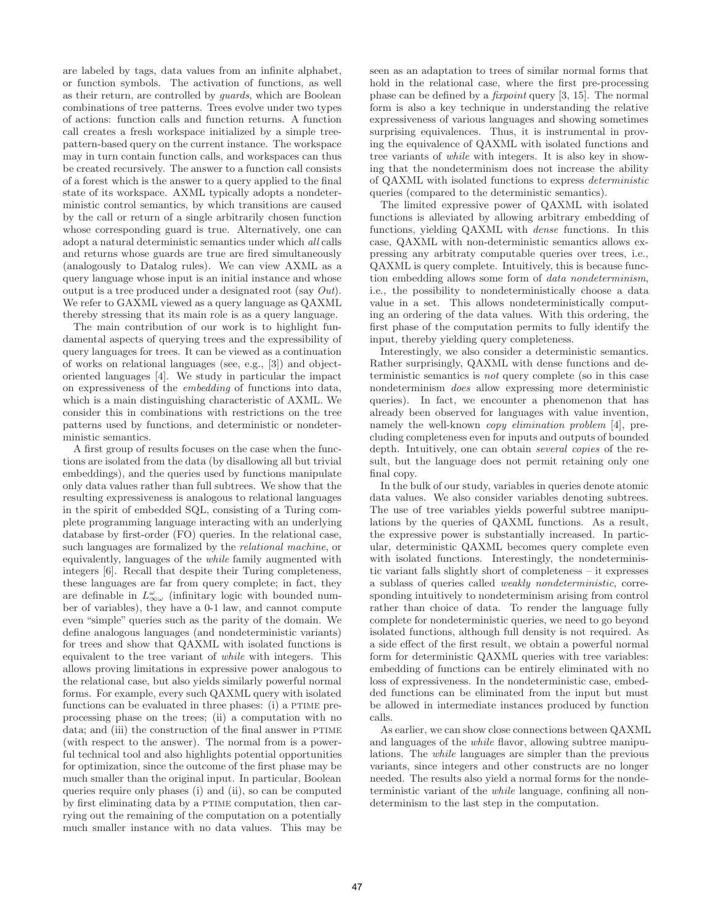are labeled by tags, data values from an infinite alphabet, or function symbols. The activation of functions, as well as their return, are controlled by guards, which are Boolean combinations of tree patterns. Trees evolve under two types of actions: function calls and function returns. A function call creates a fresh workspace initialized by a simple treepattern-based query on the current instance. The workspace may in turn contain function calls, and workspaces can thus be created recursively. The answer to a function call consists of a forest which is the answer to a query applied to the final state of its workspace. AXML typically adopts a nondeterministic control semantics, by which transitions are caused by the call or return of a single arbitrarily chosen function whose corresponding guard is true. Alternatively, one can adopt a natural deterministic semantics under which all calls and returns whose guards are true are fired simultaneously (analogously to Datalog rules). We can view AXML as a query language whose input is an initial instance and whose output is a tree produced under a designated root (say Out). We refer to GAXML viewed as a query language as QAXML thereby stressing that its main role is as a query language.

The main contribution of our work is to highlight fundamental aspects of querying trees and the expressibility of query languages for trees. It can be viewed as a continuation of works on relational languages (see, e.g., [3]) and objectoriented languages [4]. We study in particular the impact on expressiveness of the embedding of functions into data, which is a main distinguishing characteristic of AXML. We consider this in combinations with restrictions on the tree patterns used by functions, and deterministic or nondeterministic semantics.

A first group of results focuses on the case when the functions are isolated from the data (by disallowing all but trivial embeddings), and the queries used by functions manipulate only data values rather than full subtrees. We show that the resulting expressiveness is analogous to relational languages in the spirit of embedded SQL, consisting of a Turing complete programming language interacting with an underlying database by first-order (FO) queries. In the relational case, such languages are formalized by the relational machine, or equivalently, languages of the while family augmented with integers [6]. Recall that despite their Turing completeness, these languages are far from query complete; in fact, they are definable in  $L^{\omega}_{\infty \omega}$  (infinitary logic with bounded number of variables), they have a 0-1 law, and cannot compute even "simple" queries such as the parity of the domain. We define analogous languages (and nondeterministic variants) for trees and show that QAXML with isolated functions is equivalent to the tree variant of while with integers. This allows proving limitations in expressive power analogous to the relational case, but also yields similarly powerful normal forms. For example, every such QAXML query with isolated functions can be evaluated in three phases:  $(i)$  a PTIME preprocessing phase on the trees; (ii) a computation with no data; and (iii) the construction of the final answer in PTIME (with respect to the answer). The normal from is a powerful technical tool and also highlights potential opportunities for optimization, since the outcome of the first phase may be much smaller than the original input. In particular, Boolean queries require only phases (i) and (ii), so can be computed by first eliminating data by a PTIME computation, then carrying out the remaining of the computation on a potentially much smaller instance with no data values. This may be

seen as an adaptation to trees of similar normal forms that hold in the relational case, where the first pre-processing phase can be defined by a fixpoint query [3, 15]. The normal form is also a key technique in understanding the relative expressiveness of various languages and showing sometimes surprising equivalences. Thus, it is instrumental in proving the equivalence of QAXML with isolated functions and tree variants of while with integers. It is also key in showing that the nondeterminism does not increase the ability of QAXML with isolated functions to express deterministic queries (compared to the deterministic semantics).

The limited expressive power of QAXML with isolated functions is alleviated by allowing arbitrary embedding of functions, yielding QAXML with dense functions. In this case, QAXML with non-deterministic semantics allows expressing any arbitraty computable queries over trees, i.e., QAXML is query complete. Intuitively, this is because function embedding allows some form of data nondeterminism, i.e., the possibility to nondeterministically choose a data value in a set. This allows nondeterministically computing an ordering of the data values. With this ordering, the first phase of the computation permits to fully identify the input, thereby yielding query completeness.

Interestingly, we also consider a deterministic semantics. Rather surprisingly, QAXML with dense functions and deterministic semantics is not query complete (so in this case nondeterminism does allow expressing more deterministic queries). In fact, we encounter a phenomenon that has already been observed for languages with value invention, namely the well-known copy elimination problem [4], precluding completeness even for inputs and outputs of bounded depth. Intuitively, one can obtain several copies of the result, but the language does not permit retaining only one final copy.

In the bulk of our study, variables in queries denote atomic data values. We also consider variables denoting subtrees. The use of tree variables yields powerful subtree manipulations by the queries of QAXML functions. As a result, the expressive power is substantially increased. In particular, deterministic QAXML becomes query complete even with isolated functions. Interestingly, the nondeterministic variant falls slightly short of completeness – it expresses a sublass of queries called weakly nondeterministic, corresponding intuitively to nondeterminism arising from control rather than choice of data. To render the language fully complete for nondeterministic queries, we need to go beyond isolated functions, although full density is not required. As a side effect of the first result, we obtain a powerful normal form for deterministic QAXML queries with tree variables: embedding of functions can be entirely eliminated with no loss of expressiveness. In the nondeterministic case, embedded functions can be eliminated from the input but must be allowed in intermediate instances produced by function calls.

As earlier, we can show close connections between QAXML and languages of the while flavor, allowing subtree manipulations. The while languages are simpler than the previous variants, since integers and other constructs are no longer needed. The results also yield a normal forms for the nondeterministic variant of the while language, confining all nondeterminism to the last step in the computation.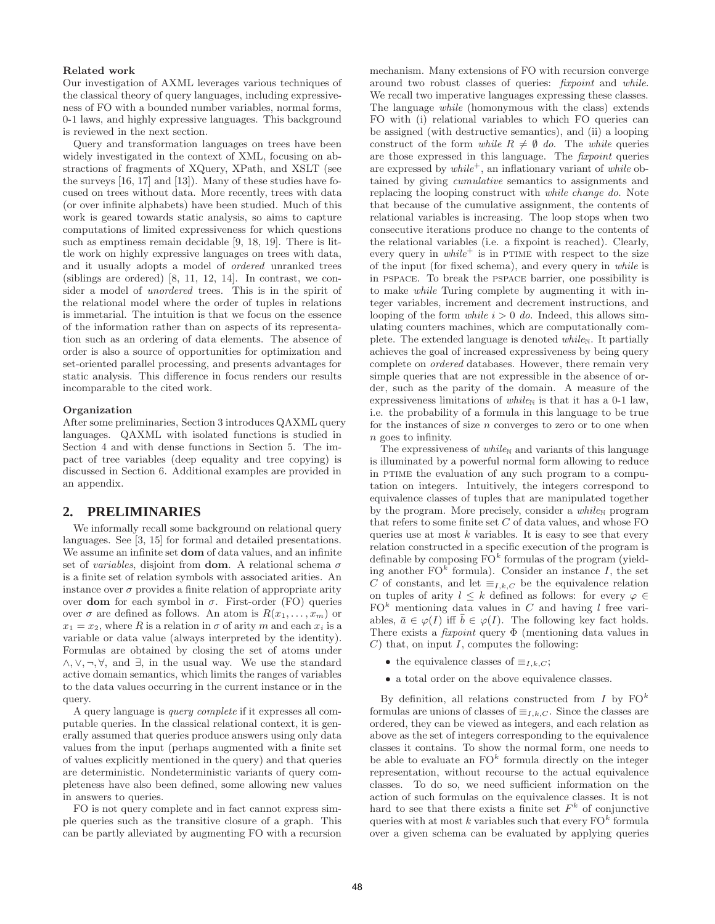#### **Related work**

Our investigation of AXML leverages various techniques of the classical theory of query languages, including expressiveness of FO with a bounded number variables, normal forms, 0-1 laws, and highly expressive languages. This background is reviewed in the next section.

Query and transformation languages on trees have been widely investigated in the context of XML, focusing on abstractions of fragments of XQuery, XPath, and XSLT (see the surveys [16, 17] and [13]). Many of these studies have focused on trees without data. More recently, trees with data (or over infinite alphabets) have been studied. Much of this work is geared towards static analysis, so aims to capture computations of limited expressiveness for which questions such as emptiness remain decidable [9, 18, 19]. There is little work on highly expressive languages on trees with data, and it usually adopts a model of ordered unranked trees (siblings are ordered) [8, 11, 12, 14]. In contrast, we consider a model of unordered trees. This is in the spirit of the relational model where the order of tuples in relations is immetarial. The intuition is that we focus on the essence of the information rather than on aspects of its representation such as an ordering of data elements. The absence of order is also a source of opportunities for optimization and set-oriented parallel processing, and presents advantages for static analysis. This difference in focus renders our results incomparable to the cited work.

#### **Organization**

After some preliminaries, Section 3 introduces QAXML query languages. QAXML with isolated functions is studied in Section 4 and with dense functions in Section 5. The impact of tree variables (deep equality and tree copying) is discussed in Section 6. Additional examples are provided in an appendix.

### **2. PRELIMINARIES**

We informally recall some background on relational query languages. See [3, 15] for formal and detailed presentations. We assume an infinite set **dom** of data values, and an infinite set of variables, disjoint from **dom**. A relational schema σ is a finite set of relation symbols with associated arities. An instance over  $\sigma$  provides a finite relation of appropriate arity over **dom** for each symbol in  $\sigma$ . First-order (FO) queries over  $\sigma$  are defined as follows. An atom is  $R(x_1,...,x_m)$  or  $x_1 = x_2$ , where R is a relation in  $\sigma$  of arity m and each  $x_i$  is a variable or data value (always interpreted by the identity). Formulas are obtained by closing the set of atoms under ∧, ∨,¬, ∀, and ∃, in the usual way. We use the standard active domain semantics, which limits the ranges of variables to the data values occurring in the current instance or in the query.

A query language is query complete if it expresses all computable queries. In the classical relational context, it is generally assumed that queries produce answers using only data values from the input (perhaps augmented with a finite set of values explicitly mentioned in the query) and that queries are deterministic. Nondeterministic variants of query completeness have also been defined, some allowing new values in answers to queries.

FO is not query complete and in fact cannot express simple queries such as the transitive closure of a graph. This can be partly alleviated by augmenting FO with a recursion mechanism. Many extensions of FO with recursion converge around two robust classes of queries: fixpoint and while. We recall two imperative languages expressing these classes. The language while (homonymous with the class) extends FO with (i) relational variables to which FO queries can be assigned (with destructive semantics), and (ii) a looping construct of the form while  $R \neq \emptyset$  do. The while queries are those expressed in this language. The fixpoint queries are expressed by  $while^+$ , an inflationary variant of while obtained by giving cumulative semantics to assignments and replacing the looping construct with while change do. Note that because of the cumulative assignment, the contents of relational variables is increasing. The loop stops when two consecutive iterations produce no change to the contents of the relational variables (i.e. a fixpoint is reached). Clearly, every query in  $while<sup>+</sup>$  is in PTIME with respect to the size of the input (for fixed schema), and every query in while is in pspace. To break the pspace barrier, one possibility is to make while Turing complete by augmenting it with integer variables, increment and decrement instructions, and looping of the form *while*  $i > 0$  *do*. Indeed, this allows simulating counters machines, which are computationally complete. The extended language is denoted  $while_{N}$ . It partially achieves the goal of increased expressiveness by being query complete on ordered databases. However, there remain very simple queries that are not expressible in the absence of order, such as the parity of the domain. A measure of the expressiveness limitations of while<sub>N</sub> is that it has a 0-1 law, i.e. the probability of a formula in this language to be true for the instances of size  $n$  converges to zero or to one when n goes to infinity.

The expressiveness of  $while_{\mathbb{N}}$  and variants of this language is illuminated by a powerful normal form allowing to reduce in PTIME the evaluation of any such program to a computation on integers. Intuitively, the integers correspond to equivalence classes of tuples that are manipulated together by the program. More precisely, consider a while program that refers to some finite set  $C$  of data values, and whose  $FO$ queries use at most  $k$  variables. It is easy to see that every relation constructed in a specific execution of the program is definable by composing  $FO<sup>k</sup>$  formulas of the program (yielding another  $FO<sup>k</sup>$  formula). Consider an instance I, the set C of constants, and let  $\equiv_{I,k,C}$  be the equivalence relation on tuples of arity  $l \leq k$  defined as follows: for every  $\varphi \in$  $FO<sup>k</sup>$  mentioning data values in C and having l free variables,  $\bar{a} \in \varphi(I)$  iff  $\bar{b} \in \varphi(I)$ . The following key fact holds. There exists a *fixpoint* query  $\Phi$  (mentioning data values in  $C$ ) that, on input I, computes the following:

- the equivalence classes of  $\equiv_{I,k,C}$ ;
- $\bullet\,$  a total order on the above equivalence classes.

By definition, all relations constructed from I by  $FO<sup>k</sup>$ formulas are unions of classes of  $\equiv_{L,k,C}$ . Since the classes are ordered, they can be viewed as integers, and each relation as above as the set of integers corresponding to the equivalence classes it contains. To show the normal form, one needs to be able to evaluate an  $FO<sup>k</sup>$  formula directly on the integer representation, without recourse to the actual equivalence classes. To do so, we need sufficient information on the action of such formulas on the equivalence classes. It is not hard to see that there exists a finite set  $F^k$  of conjunctive queries with at most k variables such that every  $FO<sup>k</sup>$  formula over a given schema can be evaluated by applying queries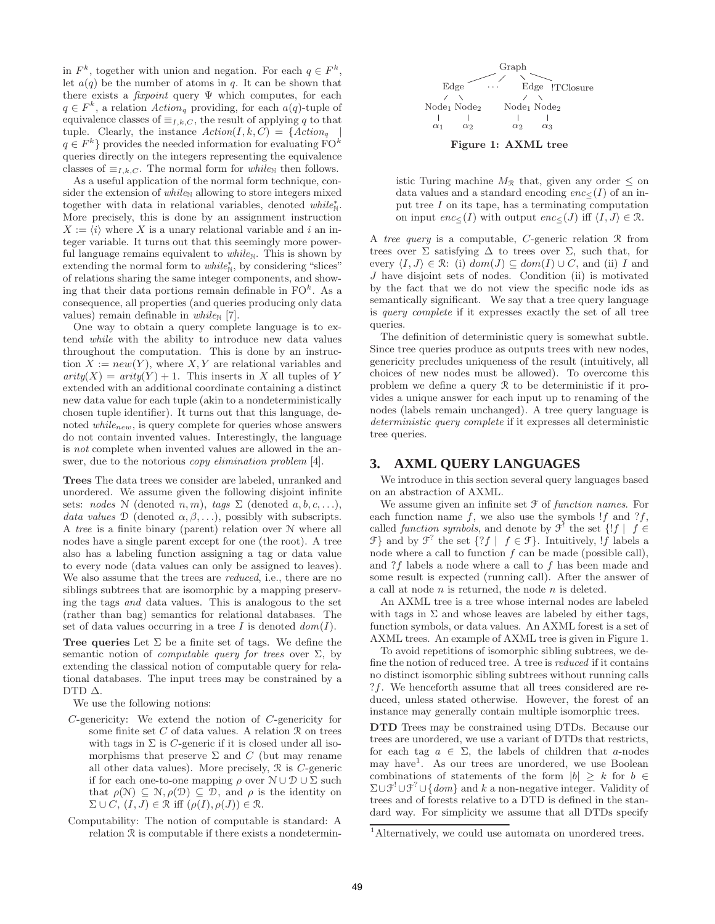in  $F^k$ , together with union and negation. For each  $q \in F^k$ , let  $a(q)$  be the number of atoms in q. It can be shown that there exists a *fixpoint* query  $\Psi$  which computes, for each  $q \in F^k$ , a relation  $Action_q$  providing, for each  $a(q)$ -tuple of equivalence classes of  $\equiv_{I,k,C}$ , the result of applying q to that tuple. Clearly, the instance  $Action(I, k, C) = \{Action_q$  $q \in F^k$  provides the needed information for evaluating  $\text{FO}^k$ queries directly on the integers representing the equivalence classes of  $\equiv_{I,k,C}$ . The normal form for while<sub>N</sub> then follows.

As a useful application of the normal form technique, consider the extension of  $while_{\mathbb{N}}$  allowing to store integers mixed together with data in relational variables, denoted  $while^*_{\mathbb{N}}$ . More precisely, this is done by an assignment instruction  $X := \langle i \rangle$  where X is a unary relational variable and i an integer variable. It turns out that this seemingly more powerful language remains equivalent to  $while_{\mathbb{N}}$ . This is shown by extending the normal form to  $while_{\mathbb{N}}^*$ , by considering "slices" of relations sharing the same integer components, and showing that their data portions remain definable in  $FO^k$ . As a consequence, all properties (and queries producing only data values) remain definable in  $while_{\mathbb{N}}$  [7].

One way to obtain a query complete language is to extend while with the ability to introduce new data values throughout the computation. This is done by an instruction  $X := new(Y)$ , where  $X, Y$  are relational variables and  $arity(X) = arity(Y) + 1$ . This inserts in X all tuples of Y extended with an additional coordinate containing a distinct new data value for each tuple (akin to a nondeterministically chosen tuple identifier). It turns out that this language, denoted  $while_{new}$ , is query complete for queries whose answers do not contain invented values. Interestingly, the language is not complete when invented values are allowed in the answer, due to the notorious *copy elimination problem* [4].

**Trees** The data trees we consider are labeled, unranked and unordered. We assume given the following disjoint infinite sets: nodes N (denoted n, m), tags  $\Sigma$  (denoted a, b, c, ...), data values  $\mathcal D$  (denoted  $\alpha, \beta, \ldots$ ), possibly with subscripts. A tree is a finite binary (parent) relation over N where all nodes have a single parent except for one (the root). A tree also has a labeling function assigning a tag or data value to every node (data values can only be assigned to leaves). We also assume that the trees are *reduced*, i.e., there are no siblings subtrees that are isomorphic by a mapping preserving the tags and data values. This is analogous to the set (rather than bag) semantics for relational databases. The set of data values occurring in a tree I is denoted  $dom(I)$ .

**Tree queries** Let Σ be a finite set of tags. We define the semantic notion of *computable query for trees* over  $\Sigma$ , by extending the classical notion of computable query for relational databases. The input trees may be constrained by a DTD  $\Delta$ .

We use the following notions:

- C-genericity: We extend the notion of C-genericity for some finite set  $C$  of data values. A relation  $\Re$  on trees with tags in  $\Sigma$  is *C*-generic if it is closed under all isomorphisms that preserve  $\Sigma$  and  $C$  (but may rename all other data values). More precisely,  $R$  is  $C$ -generic if for each one-to-one mapping  $\rho$  over  $\mathcal{N} \cup \mathcal{D} \cup \Sigma$  such that  $\rho(\mathcal{N}) \subseteq \mathcal{N}, \rho(\mathcal{D}) \subseteq \mathcal{D}$ , and  $\rho$  is the identity on  $\Sigma \cup C$ ,  $(I, J) \in \mathcal{R}$  iff  $(\rho(I), \rho(J)) \in \mathcal{R}$ .
- Computability: The notion of computable is standard: A relation R is computable if there exists a nondetermin-



**Figure 1: AXML tree**

istic Turing machine  $M_{\mathcal{R}}$  that, given any order  $\leq$  on data values and a standard encoding  $enc<(I)$  of an input tree  $I$  on its tape, has a terminating computation on input  $enc<(I)$  with output  $enc<(J)$  iff  $\langle I, J \rangle \in \mathcal{R}$ .

A tree query is a computable,  $C$ -generic relation  $\Re$  from trees over  $\Sigma$  satisfying  $\Delta$  to trees over  $\Sigma$ , such that, for every  $\langle I, J \rangle \in \mathcal{R}$ : (i)  $dom(J) \subseteq dom(I) \cup C$ , and (ii) I and J have disjoint sets of nodes. Condition (ii) is motivated by the fact that we do not view the specific node ids as semantically significant. We say that a tree query language is query complete if it expresses exactly the set of all tree queries.

The definition of deterministic query is somewhat subtle. Since tree queries produce as outputs trees with new nodes, genericity precludes uniqueness of the result (intuitively, all choices of new nodes must be allowed). To overcome this problem we define a query R to be deterministic if it provides a unique answer for each input up to renaming of the nodes (labels remain unchanged). A tree query language is deterministic query complete if it expresses all deterministic tree queries.

### **3. AXML QUERY LANGUAGES**

We introduce in this section several query languages based on an abstraction of AXML.

We assume given an infinite set  $\mathcal F$  of function names. For each function name  $f$ , we also use the symbols  $!f$  and  $?f$ , called *function symbols*, and denote by  $\mathcal{F}^!$  the set  $\{!f \mid f \in$  $\mathcal{F}$ } and by  $\mathcal{F}^?$  the set  $\{?f \mid f \in \mathcal{F}\}$ . Intuitively,  $!f$  labels a node where a call to function  $f$  can be made (possible call), and  $?f$  labels a node where a call to  $f$  has been made and some result is expected (running call). After the answer of a call at node  $n$  is returned, the node  $n$  is deleted.

An AXML tree is a tree whose internal nodes are labeled with tags in  $\Sigma$  and whose leaves are labeled by either tags, function symbols, or data values. An AXML forest is a set of AXML trees. An example of AXML tree is given in Figure 1.

To avoid repetitions of isomorphic sibling subtrees, we define the notion of reduced tree. A tree is reduced if it contains no distinct isomorphic sibling subtrees without running calls ?f. We henceforth assume that all trees considered are reduced, unless stated otherwise. However, the forest of an instance may generally contain multiple isomorphic trees.

**DTD** Trees may be constrained using DTDs. Because our trees are unordered, we use a variant of DTDs that restricts, for each tag  $a \in \Sigma$ , the labels of children that a-nodes may have<sup>1</sup>. As our trees are unordered, we use Boolean combinations of statements of the form  $|b| \geq k$  for  $b \in$  $\Sigma \cup \mathfrak{F}^1 \cup \mathfrak{F}^2 \cup \{dom\}$  and k a non-negative integer. Validity of trees and of forests relative to a DTD is defined in the standard way. For simplicity we assume that all DTDs specify

<sup>1</sup>Alternatively, we could use automata on unordered trees.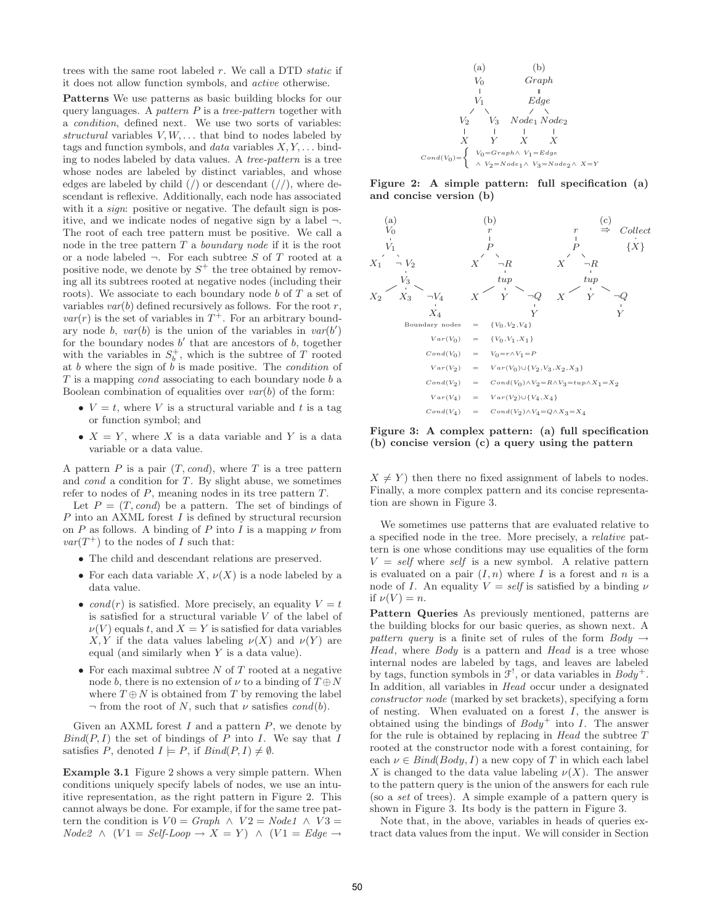trees with the same root labeled r. We call a DTD static if it does not allow function symbols, and active otherwise.

**Patterns** We use patterns as basic building blocks for our query languages. A pattern  $P$  is a tree-pattern together with a condition, defined next. We use two sorts of variables: structural variables  $V, W, \ldots$  that bind to nodes labeled by tags and function symbols, and *data* variables  $X, Y, \ldots$  binding to nodes labeled by data values. A tree-pattern is a tree whose nodes are labeled by distinct variables, and whose edges are labeled by child  $\langle \rangle$  or descendant  $\langle \rangle$ , where descendant is reflexive. Additionally, each node has associated with it a *sign*: positive or negative. The default sign is positive, and we indicate nodes of negative sign by a label ¬. The root of each tree pattern must be positive. We call a node in the tree pattern  $T$  a *boundary node* if it is the root or a node labeled  $\neg$ . For each subtree S of T rooted at a positive node, we denote by  $S^+$  the tree obtained by removing all its subtrees rooted at negative nodes (including their roots). We associate to each boundary node  $b$  of  $T$  a set of variables  $var(b)$  defined recursively as follows. For the root  $r$ ,  $var(r)$  is the set of variables in  $T^+$ . For an arbitrary boundary node b,  $var(b)$  is the union of the variables in  $var(b')$ for the boundary nodes  $b'$  that are ancestors of  $b$ , together with the variables in  $S_b^+$ , which is the subtree of T rooted at  $b$  where the sign of  $b$  is made positive. The *condition* of  $T$  is a mapping *cond* associating to each boundary node  $b$  a Boolean combination of equalities over  $var(b)$  of the form:

- $V = t$ , where V is a structural variable and t is a tag or function symbol; and
- $X = Y$ , where X is a data variable and Y is a data variable or a data value.

A pattern  $P$  is a pair  $(T, cond)$ , where  $T$  is a tree pattern and  $\text{cond}$  a condition for  $T$ . By slight abuse, we sometimes refer to nodes of  $P$ , meaning nodes in its tree pattern  $T$ .

Let  $P = (T, cond)$  be a pattern. The set of bindings of P into an AXML forest I is defined by structural recursion on P as follows. A binding of P into I is a mapping  $\nu$  from  $var(T^+)$  to the nodes of I such that:

- The child and descendant relations are preserved.
- For each data variable X,  $\nu(X)$  is a node labeled by a data value.
- cond(r) is satisfied. More precisely, an equality  $V = t$ is satisfied for a structural variable V of the label of  $\nu(V)$  equals t, and  $X = Y$  is satisfied for data variables X, Y if the data values labeling  $\nu(X)$  and  $\nu(Y)$  are equal (and similarly when Y is a data value).
- For each maximal subtree  $N$  of  $T$  rooted at a negative node b, there is no extension of  $\nu$  to a binding of  $T \oplus N$ where  $T \oplus N$  is obtained from T by removing the label  $\neg$  from the root of N, such that  $\nu$  satisfies cond(b).

Given an AXML forest  $I$  and a pattern  $P$ , we denote by  $\text{Bind}(P, I)$  the set of bindings of P into I. We say that I satisfies P, denoted  $I \models P$ , if  $\text{Bind}(P, I) \neq \emptyset$ .

**Example 3.1** Figure 2 shows a very simple pattern. When conditions uniquely specify labels of nodes, we use an intuitive representation, as the right pattern in Figure 2. This cannot always be done. For example, if for the same tree pattern the condition is  $V0 = Graph \wedge V2 = Node1 \wedge V3 =$  $Node2 \wedge (V1 = Self\text{-}Loop \rightarrow X = Y) \wedge (V1 = Edge \rightarrow$ 



**Figure 2: A simple pattern: full specification (a) and concise version (b)**



**Figure 3: A complex pattern: (a) full specification (b) concise version (c) a query using the pattern**

 $X \neq Y$  then there no fixed assignment of labels to nodes. Finally, a more complex pattern and its concise representation are shown in Figure 3.

We sometimes use patterns that are evaluated relative to a specified node in the tree. More precisely, a relative pattern is one whose conditions may use equalities of the form  $V = self$  where self is a new symbol. A relative pattern is evaluated on a pair  $(I, n)$  where I is a forest and n is a node of I. An equality  $V = self$  is satisfied by a binding  $\nu$ if  $\nu(V) = n$ .

**Pattern Queries** As previously mentioned, patterns are the building blocks for our basic queries, as shown next. A pattern query is a finite set of rules of the form  $Body \rightarrow$ Head, where Body is a pattern and Head is a tree whose internal nodes are labeled by tags, and leaves are labeled by tags, function symbols in  $\mathcal{F}^!$ , or data variables in  $Body^+$ . In addition, all variables in Head occur under a designated constructor node (marked by set brackets), specifying a form of nesting. When evaluated on a forest  $I$ , the answer is obtained using the bindings of  $Body^+$  into I. The answer for the rule is obtained by replacing in Head the subtree T rooted at the constructor node with a forest containing, for each  $\nu \in Bind(Body, I)$  a new copy of T in which each label X is changed to the data value labeling  $\nu(X)$ . The answer to the pattern query is the union of the answers for each rule (so a set of trees). A simple example of a pattern query is shown in Figure 3. Its body is the pattern in Figure 3.

Note that, in the above, variables in heads of queries extract data values from the input. We will consider in Section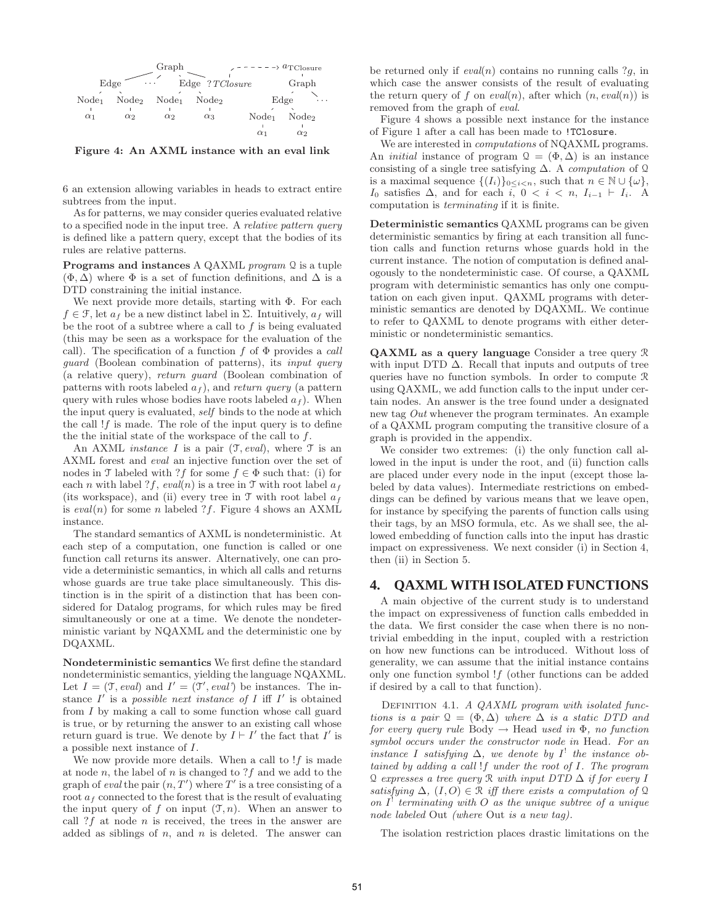

**Figure 4: An AXML instance with an eval link**

6 an extension allowing variables in heads to extract entire subtrees from the input.

As for patterns, we may consider queries evaluated relative to a specified node in the input tree. A relative pattern query is defined like a pattern query, except that the bodies of its rules are relative patterns.

**Programs and instances** A QAXML *program* Q is a tuple  $(\Phi, \Delta)$  where  $\Phi$  is a set of function definitions, and  $\Delta$  is a DTD constraining the initial instance.

We next provide more details, starting with Φ. For each  $f \in \mathcal{F}$ , let  $a_f$  be a new distinct label in  $\Sigma$ . Intuitively,  $a_f$  will be the root of a subtree where a call to  $f$  is being evaluated (this may be seen as a workspace for the evaluation of the call). The specification of a function f of  $\Phi$  provides a *call* guard (Boolean combination of patterns), its input query (a relative query), return guard (Boolean combination of patterns with roots labeled  $a_f$ ), and return query (a pattern query with rules whose bodies have roots labeled  $a_f$ ). When the input query is evaluated, self binds to the node at which the call  $!f$  is made. The role of the input query is to define the the initial state of the workspace of the call to  $f$ .

An AXML *instance* I is a pair  $(\mathcal{T}, eval)$ , where  $\mathcal{T}$  is an AXML forest and eval an injective function over the set of nodes in T labeled with ?f for some  $f \in \Phi$  such that: (i) for each n with label ?f,  $eval(n)$  is a tree in T with root label  $a_f$ (its workspace), and (ii) every tree in  $\mathcal T$  with root label  $a_f$ is  $eval(n)$  for some n labeled ?f. Figure 4 shows an AXML instance.

The standard semantics of AXML is nondeterministic. At each step of a computation, one function is called or one function call returns its answer. Alternatively, one can provide a deterministic semantics, in which all calls and returns whose guards are true take place simultaneously. This distinction is in the spirit of a distinction that has been considered for Datalog programs, for which rules may be fired simultaneously or one at a time. We denote the nondeterministic variant by NQAXML and the deterministic one by DQAXML.

**Nondeterministic semantics** We first define the standard nondeterministic semantics, yielding the language NQAXML. Let  $I = (\mathfrak{T}, eval)$  and  $I' = (\mathfrak{T}', eval')$  be instances. The instance  $I'$  is a possible next instance of  $I$  iff  $I'$  is obtained from I by making a call to some function whose call guard is true, or by returning the answer to an existing call whose return guard is true. We denote by  $I \vdash I'$  the fact that I' is a possible next instance of I.

We now provide more details. When a call to  $!f$  is made at node n, the label of n is changed to  $?f$  and we add to the graph of eval the pair  $(n, T')$  where  $T'$  is a tree consisting of a root  $a_f$  connected to the forest that is the result of evaluating the input query of f on input  $(\mathfrak{T}, n)$ . When an answer to call  $?f$  at node *n* is received, the trees in the answer are added as siblings of  $n$ , and  $n$  is deleted. The answer can be returned only if  $eval(n)$  contains no running calls ?g, in which case the answer consists of the result of evaluating the return query of f on  $eval(n)$ , after which  $(n, eval(n))$  is removed from the graph of eval.

Figure 4 shows a possible next instance for the instance of Figure 1 after a call has been made to !TClosure.

We are interested in *computations* of NQAXML programs. An *initial* instance of program  $\mathcal{Q} = (\Phi, \Delta)$  is an instance consisting of a single tree satisfying  $\Delta$ . A *computation* of  $\Omega$ is a maximal sequence  $\{(I_i)\}_{0\leq i\leq n}$ , such that  $n \in \mathbb{N} \cup \{\omega\},\$ I<sub>0</sub> satisfies  $\Delta$ , and for each i,  $0 < i < n$ ,  $I_{i-1} \vdash I_i$ . A computation is terminating if it is finite.

**Deterministic semantics** QAXML programs can be given deterministic semantics by firing at each transition all function calls and function returns whose guards hold in the current instance. The notion of computation is defined analogously to the nondeterministic case. Of course, a QAXML program with deterministic semantics has only one computation on each given input. QAXML programs with deterministic semantics are denoted by DQAXML. We continue to refer to QAXML to denote programs with either deterministic or nondeterministic semantics.

**QAXML as a query language** Consider a tree query R with input DTD  $\Delta$ . Recall that inputs and outputs of tree queries have no function symbols. In order to compute R using QAXML, we add function calls to the input under certain nodes. An answer is the tree found under a designated new tag Out whenever the program terminates. An example of a QAXML program computing the transitive closure of a graph is provided in the appendix.

We consider two extremes: (i) the only function call allowed in the input is under the root, and (ii) function calls are placed under every node in the input (except those labeled by data values). Intermediate restrictions on embeddings can be defined by various means that we leave open, for instance by specifying the parents of function calls using their tags, by an MSO formula, etc. As we shall see, the allowed embedding of function calls into the input has drastic impact on expressiveness. We next consider (i) in Section 4, then (ii) in Section 5.

### **4. QAXML WITH ISOLATED FUNCTIONS**

A main objective of the current study is to understand the impact on expressiveness of function calls embedded in the data. We first consider the case when there is no nontrivial embedding in the input, coupled with a restriction on how new functions can be introduced. Without loss of generality, we can assume that the initial instance contains only one function symbol !f (other functions can be added if desired by a call to that function).

DEFINITION 4.1. A QAXML program with isolated functions is a pair  $\mathcal{Q} = (\Phi, \Delta)$  where  $\Delta$  is a static DTD and for every query rule Body  $\rightarrow$  Head used in  $\Phi$ , no function symbol occurs under the constructor node in Head. For an instance I satisfying  $\Delta$ , we denote by I<sup>!</sup> the instance obtained by adding a call !f under the root of I. The program  $\Omega$  expresses a tree query R with input DTD  $\Delta$  if for every I satisfying  $\Delta$ ,  $(I, O) \in \mathbb{R}$  iff there exists a computation of  $\Omega$ on  $I<sup>!</sup>$  terminating with O as the unique subtree of a unique node labeled Out (where Out is a new tag).

The isolation restriction places drastic limitations on the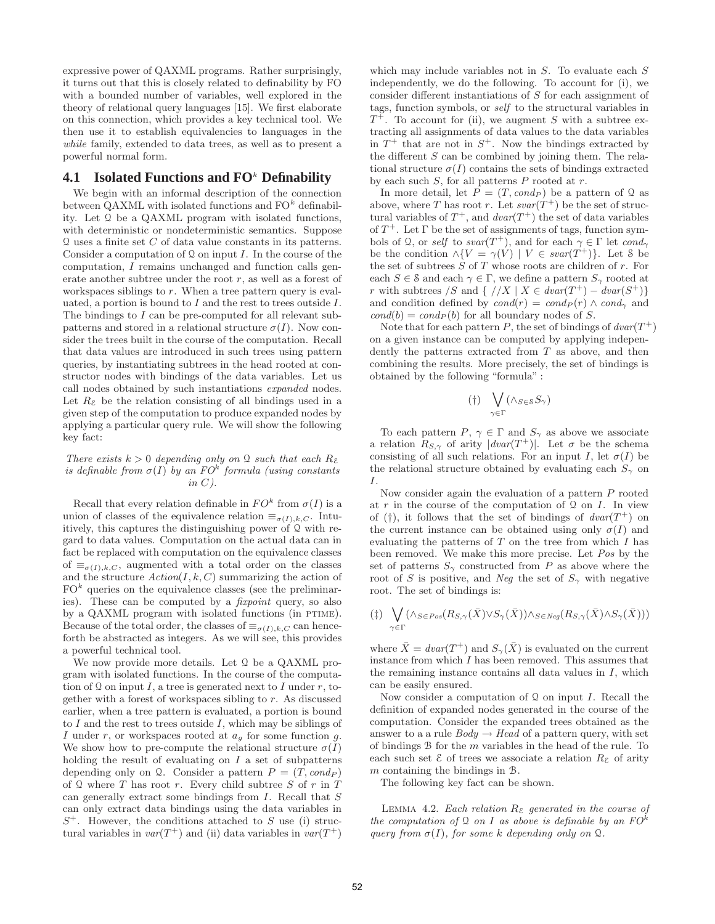expressive power of QAXML programs. Rather surprisingly, it turns out that this is closely related to definability by FO with a bounded number of variables, well explored in the theory of relational query languages [15]. We first elaborate on this connection, which provides a key technical tool. We then use it to establish equivalencies to languages in the while family, extended to data trees, as well as to present a powerful normal form.

#### **4.1 Isolated Functions and FO**<sup>k</sup> **Definability**

We begin with an informal description of the connection between QAXML with isolated functions and  $FO<sup>k</sup>$  definability. Let Q be a QAXML program with isolated functions, with deterministic or nondeterministic semantics. Suppose Q uses a finite set C of data value constants in its patterns. Consider a computation of  $\mathcal Q$  on input I. In the course of the computation, I remains unchanged and function calls generate another subtree under the root  $r$ , as well as a forest of workspaces siblings to r. When a tree pattern query is evaluated, a portion is bound to  $I$  and the rest to trees outside  $I$ . The bindings to I can be pre-computed for all relevant subpatterns and stored in a relational structure  $\sigma(I)$ . Now consider the trees built in the course of the computation. Recall that data values are introduced in such trees using pattern queries, by instantiating subtrees in the head rooted at constructor nodes with bindings of the data variables. Let us call nodes obtained by such instantiations expanded nodes. Let  $R_{\varepsilon}$  be the relation consisting of all bindings used in a given step of the computation to produce expanded nodes by applying a particular query rule. We will show the following key fact:

There exists  $k > 0$  depending only on Q such that each  $R_{\varepsilon}$ is definable from  $\sigma(I)$  by an FO<sup>k</sup> formula (using constants in  $C$ ).

Recall that every relation definable in  $FO<sup>k</sup>$  from  $\sigma(I)$  is a union of classes of the equivalence relation  $\equiv_{\sigma(I),k,C}$ . Intuitively, this captures the distinguishing power of Q with regard to data values. Computation on the actual data can in fact be replaced with computation on the equivalence classes of  $\equiv_{\sigma(I),k,C}$ , augmented with a total order on the classes and the structure  $Action(I, k, C)$  summarizing the action of  $FO<sup>k</sup>$  queries on the equivalence classes (see the preliminaries). These can be computed by a fixpoint query, so also by a QAXML program with isolated functions (in PTIME). Because of the total order, the classes of  $\equiv_{\sigma(I),k,C}$  can henceforth be abstracted as integers. As we will see, this provides a powerful technical tool.

We now provide more details. Let Q be a QAXML program with isolated functions. In the course of the computation of Q on input I, a tree is generated next to I under  $r$ , together with a forest of workspaces sibling to r. As discussed earlier, when a tree pattern is evaluated, a portion is bound to  $I$  and the rest to trees outside  $I$ , which may be siblings of I under r, or workspaces rooted at  $a<sub>g</sub>$  for some function g. We show how to pre-compute the relational structure  $\sigma(I)$ holding the result of evaluating on  $I$  a set of subpatterns depending only on Q. Consider a pattern  $P = (T, cond_P)$ of  $\mathcal Q$  where T has root r. Every child subtree S of r in T can generally extract some bindings from I. Recall that S can only extract data bindings using the data variables in  $S^+$ . However, the conditions attached to S use (i) structural variables in  $var(T^+)$  and (ii) data variables in  $var(T^+)$  which may include variables not in S. To evaluate each S independently, we do the following. To account for (i), we consider different instantiations of S for each assignment of tags, function symbols, or self to the structural variables in  $T^+$ . To account for (ii), we augment S with a subtree extracting all assignments of data values to the data variables in  $T^+$  that are not in  $S^+$ . Now the bindings extracted by the different  $S$  can be combined by joining them. The relational structure  $\sigma(I)$  contains the sets of bindings extracted by each such  $S$ , for all patterns  $P$  rooted at  $r$ .

In more detail, let  $P = (T, cond_P)$  be a pattern of Q as above, where T has root r. Let  $svar(T^+)$  be the set of structural variables of  $T^+$ , and  $dvar(T^+)$  the set of data variables of  $T^+$ . Let  $\Gamma$  be the set of assignments of tags, function symbols of Q, or self to svar( $T^+$ ), and for each  $\gamma \in \Gamma$  let  $\text{cond}_{\gamma}$ be the condition  $\wedge \{V = \gamma(V) \mid V \in \mathit{svar}(T^+)\}.$  Let S be the set of subtrees  $\dot{S}$  of  $T$  whose roots are children of  $r$ . For each  $S \in \mathcal{S}$  and each  $\gamma \in \Gamma$ , we define a pattern  $S_{\gamma}$  rooted at r with subtrees /S and {  $//X \mid X \in dwarf(T^+) - dwarf(S^+)$ } and condition defined by  $cond(r) = cond_P(r) \wedge cond_{\gamma}$  and  $cond(b) = cond_P(b)$  for all boundary nodes of S.

Note that for each pattern P, the set of bindings of  $dvar(T^+)$ on a given instance can be computed by applying independently the patterns extracted from  $T$  as above, and then combining the results. More precisely, the set of bindings is obtained by the following "formula" :

$$
(\dagger) \quad \bigvee_{\gamma \in \Gamma} (\wedge_{S \in \mathcal{S}} S_{\gamma})
$$

To each pattern  $P, \gamma \in \Gamma$  and  $S_{\gamma}$  as above we associate a relation  $R_{S,\gamma}$  of arity  $|dvar(T^+)|$ . Let  $\sigma$  be the schema consisting of all such relations. For an input I, let  $\sigma(I)$  be the relational structure obtained by evaluating each  $S_{\gamma}$  on I.

Now consider again the evaluation of a pattern P rooted at r in the course of the computation of  $\mathcal Q$  on I. In view of (†), it follows that the set of bindings of  $dvar(T^+)$  on the current instance can be obtained using only  $\sigma(I)$  and evaluating the patterns of  $T$  on the tree from which  $I$  has been removed. We make this more precise. Let Pos by the set of patterns  $S_{\gamma}$  constructed from P as above where the root of S is positive, and Neg the set of  $S_{\gamma}$  with negative root. The set of bindings is:

$$
(\ddagger) \bigvee_{\gamma \in \Gamma} (\wedge_{S \in Pos}(R_{S,\gamma}(\bar{X}) \vee S_{\gamma}(\bar{X})) \wedge_{S \in Neg}(R_{S,\gamma}(\bar{X}) \wedge S_{\gamma}(\bar{X})))
$$

where  $\bar{X} = \text{dvar}(T^+)$  and  $S_{\gamma}(\bar{X})$  is evaluated on the current instance from which  $I$  has been removed. This assumes that the remaining instance contains all data values in  $I$ , which can be easily ensured.

Now consider a computation of  $\mathcal Q$  on input *I*. Recall the definition of expanded nodes generated in the course of the computation. Consider the expanded trees obtained as the answer to a a rule  $Body \rightarrow Head$  of a pattern query, with set of bindings  $B$  for the  $m$  variables in the head of the rule. To each such set  $\mathcal E$  of trees we associate a relation  $R_{\mathcal E}$  of arity m containing the bindings in B.

The following key fact can be shown.

LEMMA 4.2. Each relation  $R_{\mathcal{E}}$  generated in the course of the computation of Q on I as above is definable by an  $FO<sup>k</sup>$ query from  $\sigma(I)$ , for some k depending only on  $\mathfrak{Q}$ .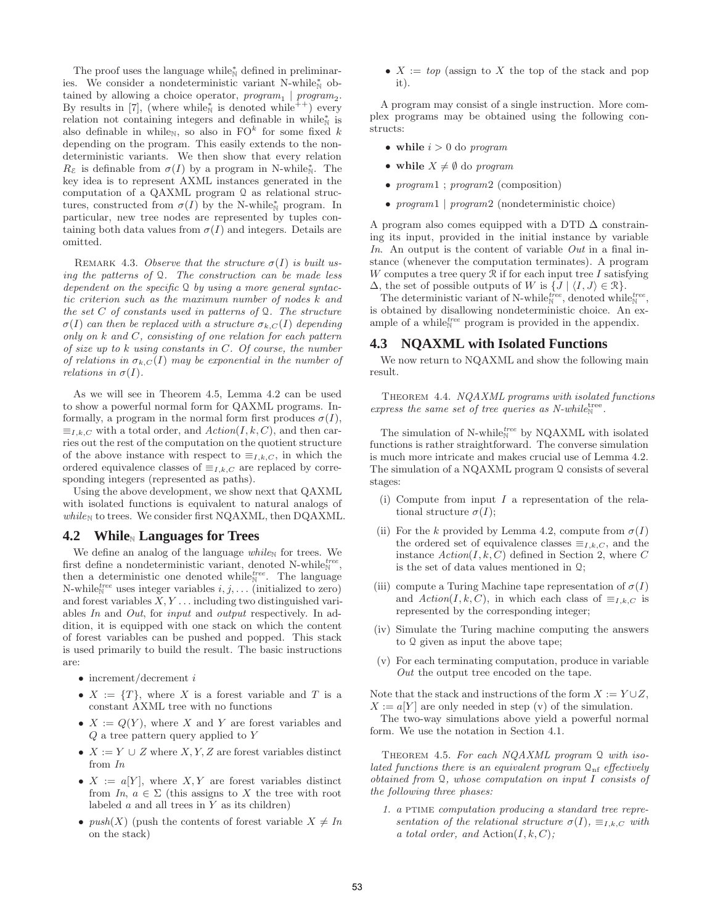The proof uses the language while<sup>∗</sup><sub>N</sub> defined in preliminaries. We consider a nondeterministic variant N-while<sup>∗</sup><sub>N</sub> obtained by allowing a choice operator,  $program_1 \mid program_2$ . By results in [7], (where while<sup>\*</sup><sub>N</sub> is denoted while<sup>++</sup>) every relation not containing integers and definable in while<sup>\*</sup><sub>N</sub> is also definable in while<sub>N</sub>, so also in  $FO^k$  for some fixed k depending on the program. This easily extends to the nondeterministic variants. We then show that every relation  $R_{\mathcal{E}}$  is definable from  $\sigma(I)$  by a program in N-while<sub>N</sub>. The key idea is to represent AXML instances generated in the computation of a QAXML program Q as relational structures, constructed from  $\sigma(I)$  by the N-while<sub>N</sub><sup>\*</sup> program. In particular, new tree nodes are represented by tuples containing both data values from  $\sigma(I)$  and integers. Details are omitted.

REMARK 4.3. Observe that the structure  $\sigma(I)$  is built using the patterns of  $Q$ . The construction can be made less dependent on the specific  $Q$  by using a more general syntactic criterion such as the maximum number of nodes k and the set  $C$  of constants used in patterns of  $Q$ . The structure  $\sigma(I)$  can then be replaced with a structure  $\sigma_{k,C}(I)$  depending only on k and C, consisting of one relation for each pattern of size up to k using constants in C. Of course, the number of relations in  $\sigma_{k,C}(I)$  may be exponential in the number of relations in  $\sigma(I)$ .

As we will see in Theorem 4.5, Lemma 4.2 can be used to show a powerful normal form for QAXML programs. Informally, a program in the normal form first produces  $\sigma(I)$ ,  $\equiv_{I,k,C}$  with a total order, and  $Action(I, k, C)$ , and then carries out the rest of the computation on the quotient structure of the above instance with respect to  $\equiv_{I,k,C}$ , in which the ordered equivalence classes of  $\equiv_{I,k,C}$  are replaced by corresponding integers (represented as paths).

Using the above development, we show next that QAXML with isolated functions is equivalent to natural analogs of  $while_{\mathbb{N}}$  to trees. We consider first NQAXML, then DQAXML.

#### **4.2** While<sub>N</sub> Languages for Trees

We define an analog of the language  $\mathit{while}_{\mathbb N}$  for trees. We first define a nondeterministic variant, denoted N-while<sup>tree</sup>, then a deterministic one denoted while<sup>tree</sup>. The language N-while<sub>N</sub><sup>tree</sup> uses integer variables  $i, j, \ldots$  (initialized to zero) and forest variables  $X, Y, \ldots$  including two distinguished variables In and Out, for input and output respectively. In addition, it is equipped with one stack on which the content of forest variables can be pushed and popped. This stack is used primarily to build the result. The basic instructions are:

- increment/decrement  $i$
- $X := \{T\}$ , where X is a forest variable and T is a constant AXML tree with no functions
- $X := Q(Y)$ , where X and Y are forest variables and Q a tree pattern query applied to Y
- $X := Y \cup Z$  where  $X, Y, Z$  are forest variables distinct from In
- $X := a[Y]$ , where  $X, Y$  are forest variables distinct from In,  $a \in \Sigma$  (this assigns to X the tree with root labeled  $a$  and all trees in  $Y$  as its children)
- push(X) (push the contents of forest variable  $X \neq In$ on the stack)

•  $X := top$  (assign to X the top of the stack and pop it).

A program may consist of a single instruction. More complex programs may be obtained using the following constructs:

- while  $i > 0$  do program
- while  $X \neq \emptyset$  do program
- program1; program2 (composition)
- program1 | program2 (nondeterministic choice)

A program also comes equipped with a DTD  $\Delta$  constraining its input, provided in the initial instance by variable In. An output is the content of variable  $Out$  in a final instance (whenever the computation terminates). A program W computes a tree query  $\mathcal R$  if for each input tree I satisfying  $\Delta$ , the set of possible outputs of W is  $\{J \mid \langle I, J \rangle \in \mathbb{R} \}$ .

The deterministic variant of N-while<sup>tree</sup>, denoted while<sup>tree</sup>, is obtained by disallowing nondeterministic choice. An example of a while<sup>tree</sup> program is provided in the appendix.

#### **4.3 NQAXML with Isolated Functions**

We now return to NQAXML and show the following main result.

THEOREM 4.4. NQAXML programs with isolated functions express the same set of tree queries as  $N$ -while $_{\mathbb{N}}^{\text{tree}}$ .

The simulation of N-while<sup>tree</sup> by NQAXML with isolated functions is rather straightforward. The converse simulation is much more intricate and makes crucial use of Lemma 4.2. The simulation of a NQAXML program Q consists of several stages:

- (i) Compute from input  $I$  a representation of the relational structure  $\sigma(I)$ ;
- (ii) For the k provided by Lemma 4.2, compute from  $\sigma(I)$ the ordered set of equivalence classes  $\equiv_{I,k,C}$ , and the instance  $Action(I, k, C)$  defined in Section 2, where C is the set of data values mentioned in Q;
- (iii) compute a Turing Machine tape representation of  $\sigma(I)$ and  $Action(I, k, C)$ , in which each class of  $\equiv_{I, k, C}$  is represented by the corresponding integer;
- (iv) Simulate the Turing machine computing the answers to Q given as input the above tape;
- (v) For each terminating computation, produce in variable Out the output tree encoded on the tape.

Note that the stack and instructions of the form  $X := Y \cup Z$ ,  $X := a[Y]$  are only needed in step (v) of the simulation.

The two-way simulations above yield a powerful normal form. We use the notation in Section 4.1.

THEOREM 4.5. For each NQAXML program Q with isolated functions there is an equivalent program  $\mathcal{Q}_{\text{nf}}$  effectively obtained from Q, whose computation on input I consists of the following three phases:

1. a PTIME computation producing a standard tree representation of the relational structure  $\sigma(I)$ ,  $\equiv_{I,k,C}$  with a total order, and  $Action(I, k, C);$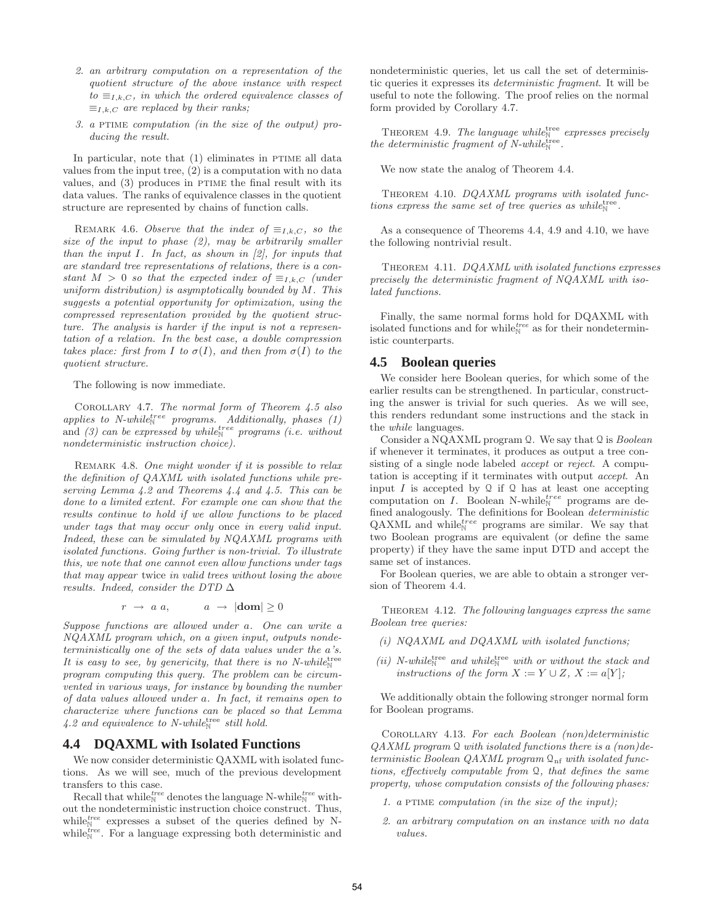- 2. an arbitrary computation on a representation of the quotient structure of the above instance with respect to  $\equiv_{I,k,C}$ , in which the ordered equivalence classes of  $\equiv_{L,k,C}$  are replaced by their ranks;
- 3. a PTIME computation (in the size of the output) producing the result.

In particular, note that  $(1)$  eliminates in PTIME all data values from the input tree, (2) is a computation with no data values, and  $(3)$  produces in PTIME the final result with its data values. The ranks of equivalence classes in the quotient structure are represented by chains of function calls.

REMARK 4.6. Observe that the index of  $\equiv_{I,k,C}$ , so the size of the input to phase  $(2)$ , may be arbitrarily smaller than the input  $I$ . In fact, as shown in  $[2]$ , for inputs that are standard tree representations of relations, there is a constant  $M > 0$  so that the expected index of  $\equiv_{I,k,C}$  (under uniform distribution) is asymptotically bounded by  $M$ . This suggests a potential opportunity for optimization, using the compressed representation provided by the quotient structure. The analysis is harder if the input is not a representation of a relation. In the best case, a double compression takes place: first from I to  $\sigma(I)$ , and then from  $\sigma(I)$  to the quotient structure.

The following is now immediate.

Corollary 4.7. The normal form of Theorem 4.5 also applies to N-while<sup>tree</sup> programs. Additionally, phases  $(1)$ and (3) can be expressed by while  $i.e.$  programs (i.e. without nondeterministic instruction choice).

REMARK 4.8. One might wonder if it is possible to relax the definition of QAXML with isolated functions while preserving Lemma 4.2 and Theorems 4.4 and 4.5. This can be done to a limited extent. For example one can show that the results continue to hold if we allow functions to be placed under tags that may occur only once in every valid input. Indeed, these can be simulated by NQAXML programs with isolated functions. Going further is non-trivial. To illustrate this, we note that one cannot even allow functions under tags that may appear twice in valid trees without losing the above results. Indeed, consider the DTD  $\Delta$ 

 $r \rightarrow a \ a$ ,  $a \rightarrow |\text{dom}| > 0$ 

Suppose functions are allowed under a. One can write a NQAXML program which, on a given input, outputs nondeterministically one of the sets of data values under the a's. It is easy to see, by genericity, that there is no N-while  $k_{\text{N}}^{\text{tree}}$ program computing this query. The problem can be circumvented in various ways, for instance by bounding the number of data values allowed under a. In fact, it remains open to characterize where functions can be placed so that Lemma 4.2 and equivalence to N-while  $k_{\rm N}^{\rm tree}$  still hold.

### **4.4 DQAXML with Isolated Functions**

We now consider deterministic QAXML with isolated functions. As we will see, much of the previous development transfers to this case.

Recall that while  $\mathbb{R}^{tree}$  denotes the language N-while  $\mathbb{R}^{tree}$  without the nondeterministic instruction choice construct. Thus, while<sup>tree</sup> expresses a subset of the queries defined by Nwhile<sup>tree</sup>. For a language expressing both deterministic and

nondeterministic queries, let us call the set of deterministic queries it expresses its deterministic fragment. It will be useful to note the following. The proof relies on the normal form provided by Corollary 4.7.

THEOREM 4.9. The language while  $k_{\text{N}}^{\text{tree}}$  expresses precisely the deterministic fragment of  $N$ -while $_N^{\text{tree}}$ .

We now state the analog of Theorem 4.4.

THEOREM 4.10. DQAXML programs with isolated functions express the same set of tree queries as while $_{\mathbb{N}}^{\text{tree}}$ .

As a consequence of Theorems 4.4, 4.9 and 4.10, we have the following nontrivial result.

THEOREM 4.11. DQAXML with isolated functions expresses precisely the deterministic fragment of NQAXML with isolated functions.

Finally, the same normal forms hold for DQAXML with isolated functions and for while  $i^{tree}$  as for their nondeterministic counterparts.

### **4.5 Boolean queries**

We consider here Boolean queries, for which some of the earlier results can be strengthened. In particular, constructing the answer is trivial for such queries. As we will see, this renders redundant some instructions and the stack in the while languages.

Consider a NQAXML program Q. We say that Q is Boolean if whenever it terminates, it produces as output a tree consisting of a single node labeled accept or reject. A computation is accepting if it terminates with output accept. An input  $I$  is accepted by  $\mathcal Q$  if  $\mathcal Q$  has at least one accepting computation on  $I$ . Boolean N-while<sup>tree</sup> programs are defined analogously. The definitions for Boolean deterministic  $\text{QAXML}$  and while<sup>tree</sup> programs are similar. We say that two Boolean programs are equivalent (or define the same property) if they have the same input DTD and accept the same set of instances.

For Boolean queries, we are able to obtain a stronger version of Theorem 4.4.

THEOREM 4.12. The following languages express the same Boolean tree queries:

- (i) NQAXML and DQAXML with isolated functions;
- (ii) N-while<sup>tree</sup> and while<sup>tree</sup> with or without the stack and instructions of the form  $X := Y \cup Z$ ,  $X := a[Y]$ ;

We additionally obtain the following stronger normal form for Boolean programs.

Corollary 4.13. For each Boolean (non)deterministic  $QAXML$  program Q with isolated functions there is a (non)deterministic Boolean QAXML program  $\mathcal{Q}_{\text{nf}}$  with isolated functions, effectively computable from Q, that defines the same property, whose computation consists of the following phases:

- 1. a PTIME computation (in the size of the input);
- 2. an arbitrary computation on an instance with no data values.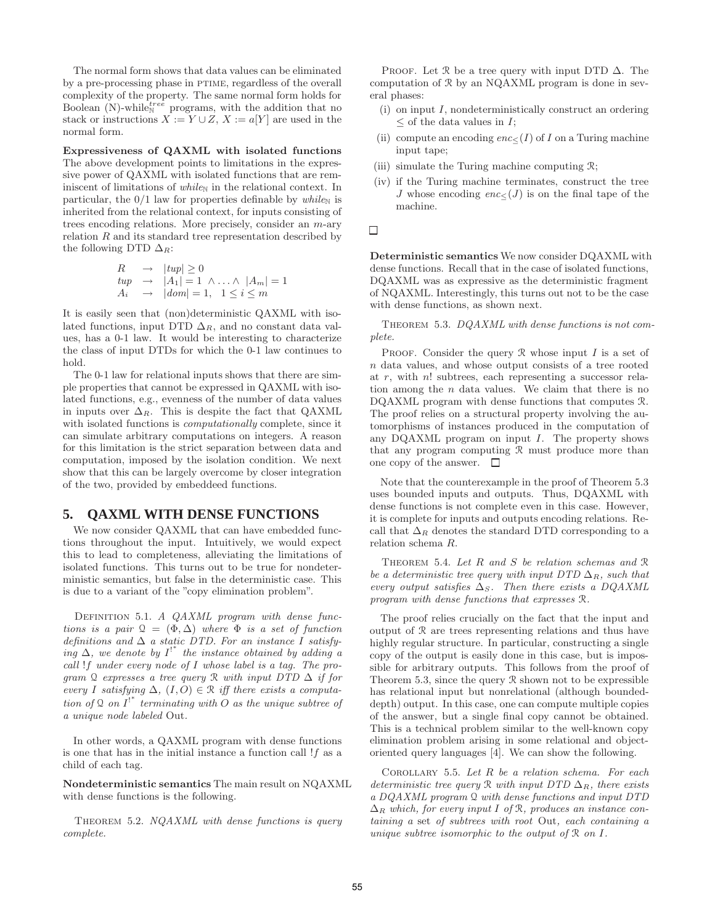The normal form shows that data values can be eliminated by a pre-processing phase in PTIME, regardless of the overall complexity of the property. The same normal form holds for Boolean (N)-while<sup>tree</sup> programs, with the addition that no stack or instructions  $X := Y \cup Z$ ,  $X := a[Y]$  are used in the normal form.

**Expressiveness of QAXML with isolated functions** The above development points to limitations in the expressive power of QAXML with isolated functions that are reminiscent of limitations of  $while_{\mathbb{N}}$  in the relational context. In particular, the  $0/1$  law for properties definable by while<sub>N</sub> is inherited from the relational context, for inputs consisting of trees encoding relations. More precisely, consider an m-ary relation  $R$  and its standard tree representation described by the following DTD  $\Delta_R$ :

$$
R \rightarrow |tup| \ge 0
$$
  
\n
$$
tup \rightarrow |A_1| = 1 \land ... \land |A_m| = 1
$$
  
\n
$$
A_i \rightarrow |dom| = 1, \quad 1 \le i \le m
$$

It is easily seen that (non)deterministic QAXML with isolated functions, input DTD  $\Delta_R$ , and no constant data values, has a 0-1 law. It would be interesting to characterize the class of input DTDs for which the 0-1 law continues to hold.

The 0-1 law for relational inputs shows that there are simple properties that cannot be expressed in QAXML with isolated functions, e.g., evenness of the number of data values in inputs over  $\Delta_R$ . This is despite the fact that QAXML with isolated functions is computationally complete, since it can simulate arbitrary computations on integers. A reason for this limitation is the strict separation between data and computation, imposed by the isolation condition. We next show that this can be largely overcome by closer integration of the two, provided by embeddeed functions.

### **5. QAXML WITH DENSE FUNCTIONS**

We now consider QAXML that can have embedded functions throughout the input. Intuitively, we would expect this to lead to completeness, alleviating the limitations of isolated functions. This turns out to be true for nondeterministic semantics, but false in the deterministic case. This is due to a variant of the "copy elimination problem".

DEFINITION 5.1. A QAXML program with dense functions is a pair  $\mathcal{Q} = (\Phi, \Delta)$  where  $\Phi$  is a set of function definitions and  $\Delta$  a static DTD. For an instance I satisfy- $\lim_{t \to \infty} \frac{\Delta}{\Delta}$ , we denote by  $I^*$  the instance obtained by adding a call !f under every node of I whose label is a tag. The program Q expresses a tree query R with input DTD  $\Delta$  if for every I satisfying  $\Delta$ ,  $(I, O) \in \mathbb{R}$  iff there exists a computation of  $\Omega$  on  $I^{\dagger}$  terminating with O as the unique subtree of a unique node labeled Out.

In other words, a QAXML program with dense functions is one that has in the initial instance a function call  $!f$  as a child of each tag.

**Nondeterministic semantics** The main result on NQAXML with dense functions is the following.

Theorem 5.2. NQAXML with dense functions is query complete.

PROOF. Let  $\Re$  be a tree query with input DTD  $\Delta$ . The computation of R by an NQAXML program is done in several phases:

- (i) on input I, nondeterministically construct an ordering  $\leq$  of the data values in *I*;
- (ii) compute an encoding  $enc<(I)$  of I on a Turing machine input tape;
- (iii) simulate the Turing machine computing  $\mathcal{R}$ ;
- (iv) if the Turing machine terminates, construct the tree J whose encoding  $enc<(J)$  is on the final tape of the machine.

 $\Box$ 

**Deterministic semantics** We now consider DQAXML with dense functions. Recall that in the case of isolated functions, DQAXML was as expressive as the deterministic fragment of NQAXML. Interestingly, this turns out not to be the case with dense functions, as shown next.

THEOREM 5.3. DQAXML with dense functions is not complete.

PROOF. Consider the query  $\Re$  whose input I is a set of n data values, and whose output consists of a tree rooted at r, with n! subtrees, each representing a successor relation among the  $n$  data values. We claim that there is no DQAXML program with dense functions that computes R. The proof relies on a structural property involving the automorphisms of instances produced in the computation of any DQAXML program on input I. The property shows that any program computing R must produce more than one copy of the answer.  $\Box$ 

Note that the counterexample in the proof of Theorem 5.3 uses bounded inputs and outputs. Thus, DQAXML with dense functions is not complete even in this case. However, it is complete for inputs and outputs encoding relations. Recall that  $\Delta_R$  denotes the standard DTD corresponding to a relation schema R.

THEOREM 5.4. Let  $R$  and  $S$  be relation schemas and  $R$ be a deterministic tree query with input DTD  $\Delta_R$ , such that every output satisfies  $\Delta_S$ . Then there exists a DQAXML program with dense functions that expresses R.

The proof relies crucially on the fact that the input and output of R are trees representing relations and thus have highly regular structure. In particular, constructing a single copy of the output is easily done in this case, but is impossible for arbitrary outputs. This follows from the proof of Theorem 5.3, since the query  $R$  shown not to be expressible has relational input but nonrelational (although boundeddepth) output. In this case, one can compute multiple copies of the answer, but a single final copy cannot be obtained. This is a technical problem similar to the well-known copy elimination problem arising in some relational and objectoriented query languages [4]. We can show the following.

COROLLARY 5.5. Let  $R$  be a relation schema. For each deterministic tree query R with input DTD  $\Delta_R$ , there exists a DQAXML program Q with dense functions and input DTD  $\Delta_R$  which, for every input I of R, produces an instance containing a set of subtrees with root Out, each containing a unique subtree isomorphic to the output of R on I.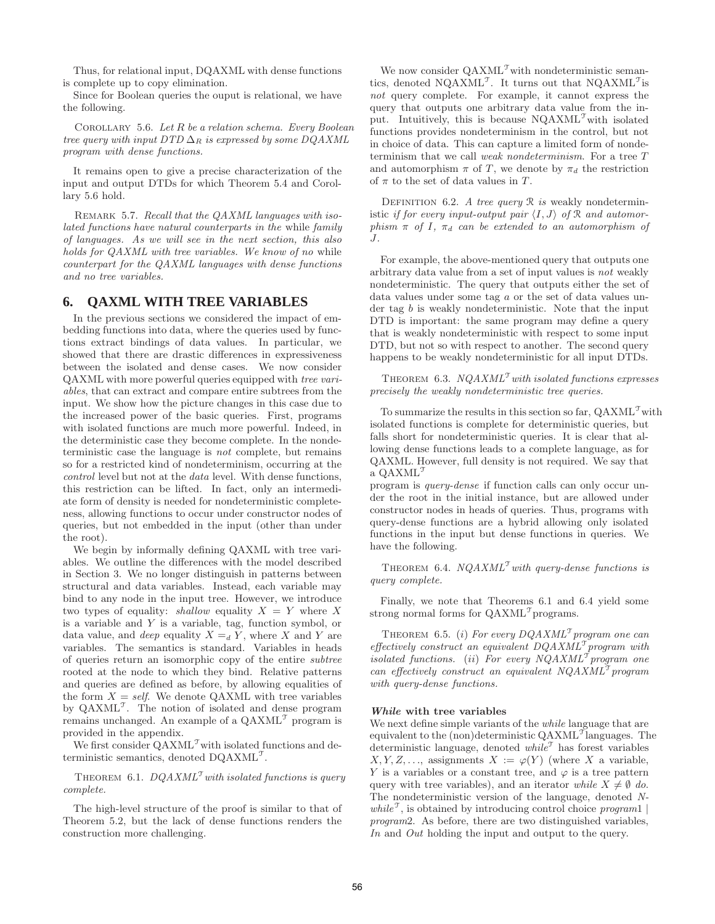Thus, for relational input, DQAXML with dense functions is complete up to copy elimination.

Since for Boolean queries the ouput is relational, we have the following.

COROLLARY 5.6. Let  $R$  be a relation schema. Every Boolean tree query with input  $DTD \Delta_R$  is expressed by some  $DQAXML$ program with dense functions.

It remains open to give a precise characterization of the input and output DTDs for which Theorem 5.4 and Corollary 5.6 hold.

REMARK 5.7. Recall that the QAXML languages with isolated functions have natural counterparts in the while family of languages. As we will see in the next section, this also holds for QAXML with tree variables. We know of no while counterpart for the QAXML languages with dense functions and no tree variables.

# **6. QAXML WITH TREE VARIABLES**

In the previous sections we considered the impact of embedding functions into data, where the queries used by functions extract bindings of data values. In particular, we showed that there are drastic differences in expressiveness between the isolated and dense cases. We now consider QAXML with more powerful queries equipped with tree variables, that can extract and compare entire subtrees from the input. We show how the picture changes in this case due to the increased power of the basic queries. First, programs with isolated functions are much more powerful. Indeed, in the deterministic case they become complete. In the nondeterministic case the language is not complete, but remains so for a restricted kind of nondeterminism, occurring at the control level but not at the data level. With dense functions, this restriction can be lifted. In fact, only an intermediate form of density is needed for nondeterministic completeness, allowing functions to occur under constructor nodes of queries, but not embedded in the input (other than under the root).

We begin by informally defining QAXML with tree variables. We outline the differences with the model described in Section 3. We no longer distinguish in patterns between structural and data variables. Instead, each variable may bind to any node in the input tree. However, we introduce two types of equality: *shallow* equality  $X = Y$  where X is a variable and Y is a variable, tag, function symbol, or data value, and *deep* equality  $X = dY$ , where X and Y are variables. The semantics is standard. Variables in heads of queries return an isomorphic copy of the entire subtree rooted at the node to which they bind. Relative patterns and queries are defined as before, by allowing equalities of the form  $X = self$ . We denote QAXML with tree variables by  $QAXML^{\mathcal{T}}$ . The notion of isolated and dense program remains unchanged. An example of a  $QAXML^T$  program is provided in the appendix.

We first consider  $\operatorname{QAXML}^{\mathcal{T}}$  with isolated functions and deterministic semantics, denoted  $DQAXML^T$ .

THEOREM 6.1.  $DQAXML^{\mathcal{T}} with isolated functions is query$ complete.

The high-level structure of the proof is similar to that of Theorem 5.2, but the lack of dense functions renders the construction more challenging.

We now consider  $QAXML^{\mathcal{T}}$  with nondeterministic semantics, denoted  $NQAXML^{\mathcal{T}}$ . It turns out that  $NQAXML^{\mathcal{T}}$  is not query complete. For example, it cannot express the query that outputs one arbitrary data value from the input. Intuitively, this is because NQAXML<sup>3</sup> with isolated functions provides nondeterminism in the control, but not in choice of data. This can capture a limited form of nondeterminism that we call weak nondeterminism. For a tree T and automorphism  $\pi$  of T, we denote by  $\pi_d$  the restriction of  $\pi$  to the set of data values in T.

DEFINITION 6.2. A tree query  $\Re$  is weakly nondeterministic *if for every input-output pair*  $\langle I, J \rangle$  of R and automorphism  $\pi$  of I,  $\pi_d$  can be extended to an automorphism of J.

For example, the above-mentioned query that outputs one arbitrary data value from a set of input values is not weakly nondeterministic. The query that outputs either the set of data values under some tag a or the set of data values under tag b is weakly nondeterministic. Note that the input DTD is important: the same program may define a query that is weakly nondeterministic with respect to some input DTD, but not so with respect to another. The second query happens to be weakly nondeterministic for all input DTDs.

THEOREM 6.3.  $NQAXML^{T}$  with isolated functions expresses precisely the weakly nondeterministic tree queries.

To summarize the results in this section so far,  $QAXML^{\mathcal{T}}$  with isolated functions is complete for deterministic queries, but falls short for nondeterministic queries. It is clear that allowing dense functions leads to a complete language, as for QAXML. However, full density is not required. We say that a  $\mathbf{Q}\mathbf{AXML}^{\mathcal{T}}$ 

program is query-dense if function calls can only occur under the root in the initial instance, but are allowed under constructor nodes in heads of queries. Thus, programs with query-dense functions are a hybrid allowing only isolated functions in the input but dense functions in queries. We have the following.

THEOREM 6.4.  $NQAXML^{T}$  with query-dense functions is query complete.

Finally, we note that Theorems 6.1 and 6.4 yield some strong normal forms for  $\mathbf{QAXML}^{\mathcal{T}}$  programs.

THEOREM 6.5. (i) For every  $DOAXML<sup>T</sup> program$  one can effectively construct an equivalent  $DQAXML^T$  program with isolated functions. (ii) For every  $NQAXML^{\mathcal{T}}$  program one can effectively construct an equivalent  $NQAXML<sup>T</sup> program$ with query-dense functions.

#### **While with tree variables**

We next define simple variants of the while language that are equivalent to the  $(non)$ deterministic  $QAXML^{\prime}$  languages. The deterministic language, denoted  $while^{\mathcal{T}}$  has forest variables  $X, Y, Z, \ldots$ , assignments  $X := \varphi(Y)$  (where X a variable, Y is a variables or a constant tree, and  $\varphi$  is a tree pattern query with tree variables), and an iterator while  $X \neq \emptyset$  do. The nondeterministic version of the language, denoted Nwhile<sup>T</sup>, is obtained by introducing control choice program1 program2. As before, there are two distinguished variables, In and Out holding the input and output to the query.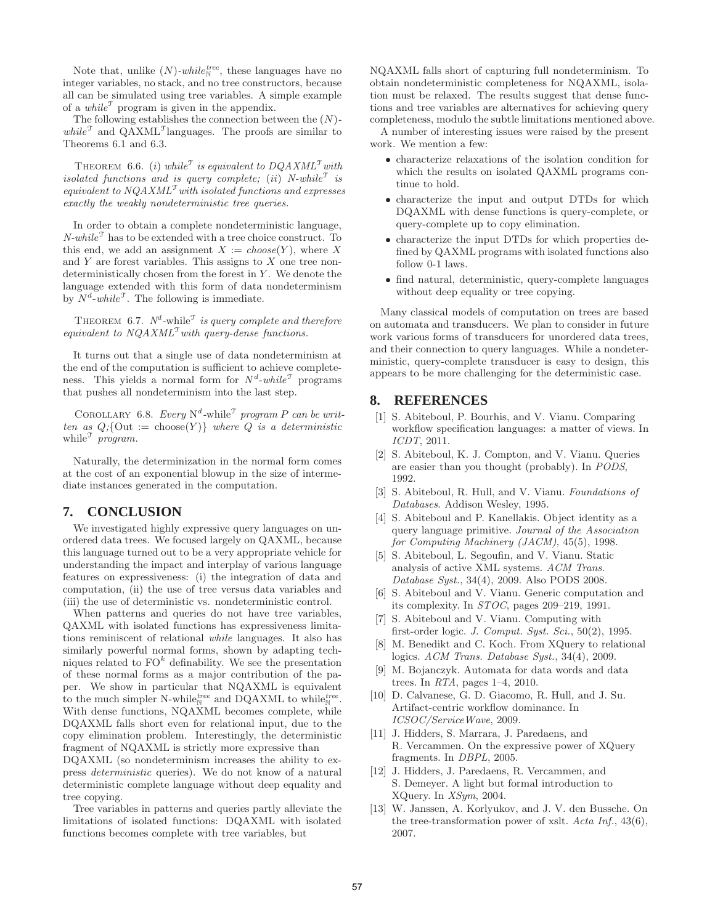Note that, unlike  $(N)$ -while<sup>tree</sup>, these languages have no integer variables, no stack, and no tree constructors, because all can be simulated using tree variables. A simple example of a  $while^{\mathcal{T}}$  program is given in the appendix.

The following establishes the connection between the  $(N)$ while<sup>T</sup> and  $QAXML$ <sup>T</sup> languages. The proofs are similar to Theorems 6.1 and 6.3.

THEOREM 6.6. (i) while<sup>T</sup> is equivalent to  $DQAXML^T$  with isolated functions and is query complete; (ii)  $N$ -while<sup>T</sup> is equivalent to  $NQAXML^{\mathcal{T}}$  with isolated functions and expresses exactly the weakly nondeterministic tree queries.

In order to obtain a complete nondeterministic language,  $N\text{-}while^{\mathcal{T}}$  has to be extended with a tree choice construct. To this end, we add an assignment  $X := choose(Y)$ , where X and  $Y$  are forest variables. This assigns to  $X$  one tree nondeterministically chosen from the forest in  $Y$ . We denote the language extended with this form of data nondeterminism by  $N^d$ -while<sup>T</sup>. The following is immediate.

THEOREM 6.7.  $N^d$ -while<sup>T</sup> is query complete and therefore equivalent to  $NQAXML^{\mathcal{T}}$  with query-dense functions.

It turns out that a single use of data nondeterminism at the end of the computation is sufficient to achieve completeness. This yields a normal form for  $N^d$ -while<sup>T</sup> programs that pushes all nondeterminism into the last step.

COROLLARY 6.8. Every  $N^d$ -while<sup>T</sup> program P can be written as  $Q_i$ {Out := choose(Y)} where Q is a deterministic while<sup> $\mathcal{T}$ </sup> program.

Naturally, the determinization in the normal form comes at the cost of an exponential blowup in the size of intermediate instances generated in the computation.

### **7. CONCLUSION**

We investigated highly expressive query languages on unordered data trees. We focused largely on QAXML, because this language turned out to be a very appropriate vehicle for understanding the impact and interplay of various language features on expressiveness: (i) the integration of data and computation, (ii) the use of tree versus data variables and (iii) the use of deterministic vs. nondeterministic control.

When patterns and queries do not have tree variables, QAXML with isolated functions has expressiveness limitations reminiscent of relational while languages. It also has similarly powerful normal forms, shown by adapting techniques related to  $FO<sup>k</sup>$  definability. We see the presentation of these normal forms as a major contribution of the paper. We show in particular that NQAXML is equivalent to the much simpler N-while<sup>tree</sup> and DQAXML to while<sup>tree</sup>. With dense functions, NQAXML becomes complete, while DQAXML falls short even for relational input, due to the copy elimination problem. Interestingly, the deterministic fragment of NQAXML is strictly more expressive than

DQAXML (so nondeterminism increases the ability to express deterministic queries). We do not know of a natural deterministic complete language without deep equality and tree copying.

Tree variables in patterns and queries partly alleviate the limitations of isolated functions: DQAXML with isolated functions becomes complete with tree variables, but

NQAXML falls short of capturing full nondeterminism. To obtain nondeterministic completeness for NQAXML, isolation must be relaxed. The results suggest that dense functions and tree variables are alternatives for achieving query completeness, modulo the subtle limitations mentioned above.

A number of interesting issues were raised by the present work. We mention a few:

- characterize relaxations of the isolation condition for which the results on isolated QAXML programs continue to hold.
- characterize the input and output DTDs for which DQAXML with dense functions is query-complete, or query-complete up to copy elimination.
- characterize the input DTDs for which properties defined by QAXML programs with isolated functions also follow 0-1 laws.
- find natural, deterministic, query-complete languages without deep equality or tree copying.

Many classical models of computation on trees are based on automata and transducers. We plan to consider in future work various forms of transducers for unordered data trees, and their connection to query languages. While a nondeterministic, query-complete transducer is easy to design, this appears to be more challenging for the deterministic case.

# **8. REFERENCES**

- [1] S. Abiteboul, P. Bourhis, and V. Vianu. Comparing workflow specification languages: a matter of views. In ICDT, 2011.
- [2] S. Abiteboul, K. J. Compton, and V. Vianu. Queries are easier than you thought (probably). In PODS, 1992.
- [3] S. Abiteboul, R. Hull, and V. Vianu. Foundations of Databases. Addison Wesley, 1995.
- [4] S. Abiteboul and P. Kanellakis. Object identity as a query language primitive. Journal of the Association for Computing Machinery (JACM), 45(5), 1998.
- [5] S. Abiteboul, L. Segoufin, and V. Vianu. Static analysis of active XML systems. ACM Trans. Database Syst., 34(4), 2009. Also PODS 2008.
- [6] S. Abiteboul and V. Vianu. Generic computation and its complexity. In STOC, pages 209–219, 1991.
- [7] S. Abiteboul and V. Vianu. Computing with first-order logic. J. Comput. Syst. Sci., 50(2), 1995.
- [8] M. Benedikt and C. Koch. From XQuery to relational logics. ACM Trans. Database Syst., 34(4), 2009.
- [9] M. Bojanczyk. Automata for data words and data trees. In RTA, pages 1–4, 2010.
- [10] D. Calvanese, G. D. Giacomo, R. Hull, and J. Su. Artifact-centric workflow dominance. In ICSOC/ServiceWave, 2009.
- [11] J. Hidders, S. Marrara, J. Paredaens, and R. Vercammen. On the expressive power of XQuery fragments. In DBPL, 2005.
- [12] J. Hidders, J. Paredaens, R. Vercammen, and S. Demeyer. A light but formal introduction to XQuery. In XSym, 2004.
- [13] W. Janssen, A. Korlyukov, and J. V. den Bussche. On the tree-transformation power of xslt. Acta Inf., 43(6), 2007.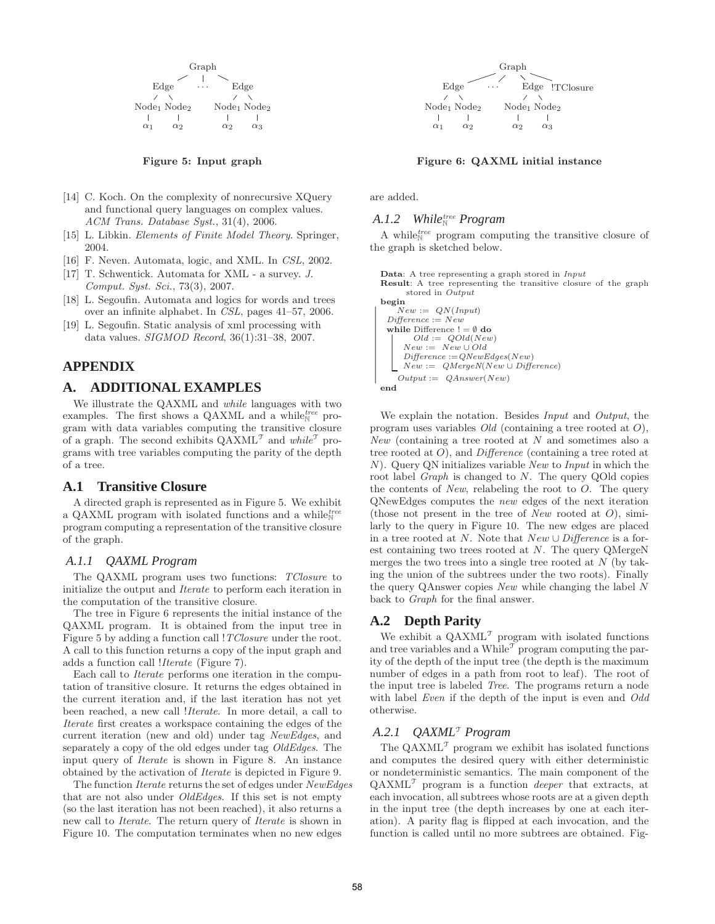

**Figure 5: Input graph**

- [14] C. Koch. On the complexity of nonrecursive XQuery and functional query languages on complex values. ACM Trans. Database Syst., 31(4), 2006.
- [15] L. Libkin. Elements of Finite Model Theory. Springer, 2004.
- [16] F. Neven. Automata, logic, and XML. In CSL, 2002.
- [17] T. Schwentick. Automata for XML a survey. J. Comput. Syst. Sci., 73(3), 2007.
- [18] L. Segoufin. Automata and logics for words and trees over an infinite alphabet. In CSL, pages 41–57, 2006.
- [19] L. Segoufin. Static analysis of xml processing with data values. SIGMOD Record, 36(1):31–38, 2007.

# **APPENDIX**

### **A. ADDITIONAL EXAMPLES**

We illustrate the QAXML and while languages with two examples. The first shows a QAXML and a while  $\mathbb{R}^{tree}$  program with data variables computing the transitive closure of a graph. The second exhibits  $QAXML^{\mathcal{T}}$  and while programs with tree variables computing the parity of the depth of a tree.

### **A.1 Transitive Closure**

A directed graph is represented as in Figure 5. We exhibit a QAXML program with isolated functions and a while  $k_{\text{N}}^{tree}$ program computing a representation of the transitive closure of the graph.

#### *A.1.1 QAXML Program*

The QAXML program uses two functions: TClosure to initialize the output and Iterate to perform each iteration in the computation of the transitive closure.

The tree in Figure 6 represents the initial instance of the QAXML program. It is obtained from the input tree in Figure 5 by adding a function call ! TClosure under the root. A call to this function returns a copy of the input graph and adds a function call !Iterate (Figure 7).

Each call to Iterate performs one iteration in the computation of transitive closure. It returns the edges obtained in the current iteration and, if the last iteration has not yet been reached, a new call *!Iterate*. In more detail, a call to Iterate first creates a workspace containing the edges of the current iteration (new and old) under tag NewEdges, and separately a copy of the old edges under tag OldEdges. The input query of Iterate is shown in Figure 8. An instance obtained by the activation of Iterate is depicted in Figure 9.

The function *Iterate* returns the set of edges under *NewEdges* that are not also under OldEdges. If this set is not empty (so the last iteration has not been reached), it also returns a new call to *Iterate*. The return query of *Iterate* is shown in Figure 10. The computation terminates when no new edges



**Figure 6: QAXML initial instance**

are added.

### $A.1.2$  *While*<sup>tree</sup> Program

A while  $k_{\text{N}}^{tree}$  program computing the transitive closure of the graph is sketched below.

**Data**: A tree representing a graph stored in Input **Result**: A tree representing the transitive closure of the graph stored in Output

begin  
\nbegin  
\n*Neu* := 
$$
QN(Input)
$$
  
\n $Difference := New$   
\nwhile Difference !=  $\emptyset$  do  
\n $Old := \text{QOld}(New)$   
\n $New := \text{New} \cup \text{Old}$   
\n $Difference := QNewEdges(New)$   
\n $New := \text{QNewEdges}(New)$   
\n $New := \text{QMergeN}(New \cup Difference)$   
\n $Output := \text{QAnswer}(New)$ 

We explain the notation. Besides *Input* and *Output*, the program uses variables Old (containing a tree rooted at O), New (containing a tree rooted at N and sometimes also a tree rooted at O), and Difference (containing a tree roted at  $N$ ). Query QN initializes variable *New* to *Input* in which the root label Graph is changed to N. The query QOld copies the contents of *New*, relabeling the root to  $O$ . The query QNewEdges computes the new edges of the next iteration (those not present in the tree of New rooted at  $O$ ), similarly to the query in Figure 10. The new edges are placed in a tree rooted at N. Note that  $New \cup Difference$  is a forest containing two trees rooted at N. The query QMergeN merges the two trees into a single tree rooted at  $N$  (by taking the union of the subtrees under the two roots). Finally the query QAnswer copies New while changing the label N back to Graph for the final answer.

# **A.2 Depth Parity**

We exhibit a  $QAXML^{\mathcal{T}}$  program with isolated functions and tree variables and a While<sup> $\sigma$ </sup> program computing the parity of the depth of the input tree (the depth is the maximum number of edges in a path from root to leaf). The root of the input tree is labeled Tree. The programs return a node with label *Even* if the depth of the input is even and *Odd* otherwise.

# *A.2.1 QAXML*<sup>T</sup> *Program*

The  $\mathbf{Q}\mathbf{AXML}^{\mathcal{T}}$  program we exhibit has isolated functions and computes the desired query with either deterministic or nondeterministic semantics. The main component of the  $QAXML^{\prime}$  program is a function *deeper* that extracts, at each invocation, all subtrees whose roots are at a given depth in the input tree (the depth increases by one at each iteration). A parity flag is flipped at each invocation, and the function is called until no more subtrees are obtained. Fig-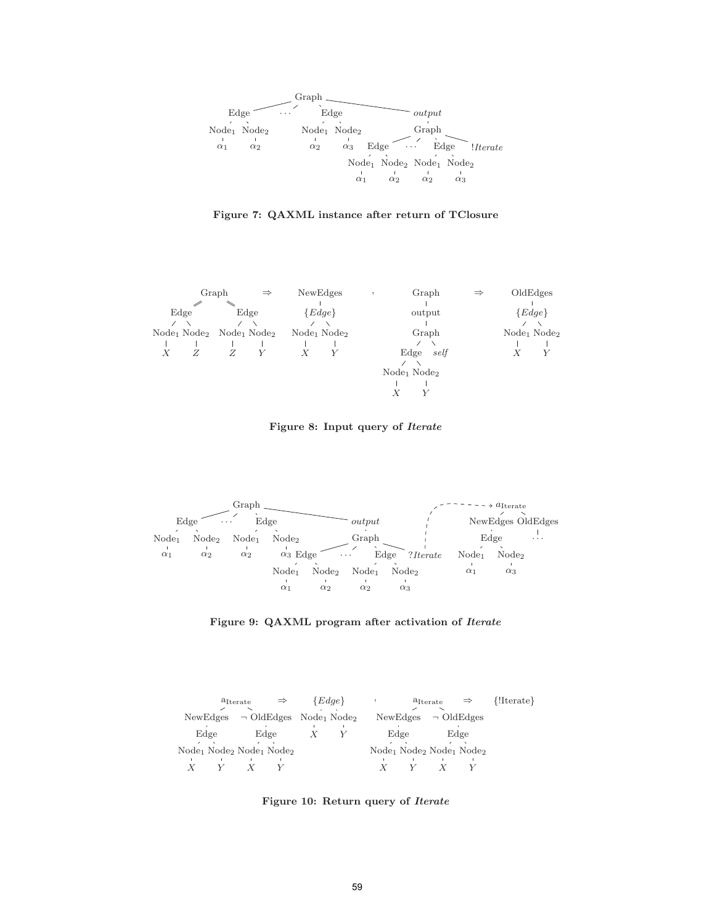

**Figure 7: QAXML instance after return of TClosure**



**Figure 8: Input query of Iterate**





aIterate NewEdges  $\neg$  OldEdges Node<sub>1</sub> Node<sub>2</sub> Edge Node<sub>1</sub> Node<sub>2</sub> Node<sub>2</sub> X Y Edge  $\stackrel{+}{X}$  $\bar{Y}$  $\Rightarrow$  {*Edge*}  $\overline{X}$  $\overline{Y}$  $, \qquad \text{a}_{\text{Iterate}} \Rightarrow$ NewEdges ¬ OldEdges Edge Node1 Node2 Node1 Node2  $\overrightarrow{X}$  $\bar{Y}$ Edge  $\stackrel{+}{X}$  $\dot{Y}$ ⇒ {!Iterate}

**Figure 10: Return query of Iterate**